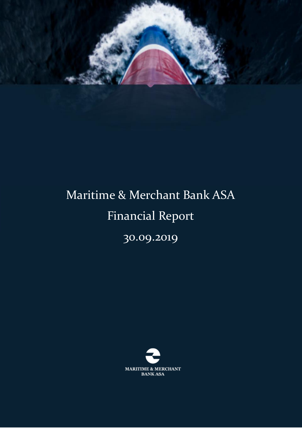

# Maritime & Merchant Bank ASA Financial Report

30.09.2019

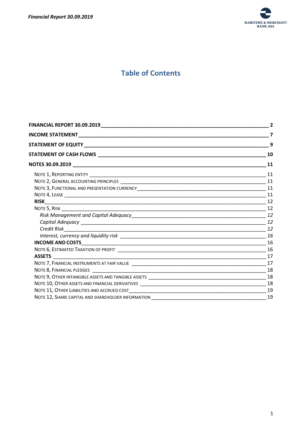

# **Table of Contents**

| FINANCIAL REPORT 30.09.2019_________________________ | $\overline{2}$ |
|------------------------------------------------------|----------------|
|                                                      | $\overline{7}$ |
|                                                      | 9              |
|                                                      | 10             |
|                                                      | 11             |
|                                                      |                |
|                                                      |                |
|                                                      |                |
|                                                      |                |
|                                                      |                |
|                                                      |                |
|                                                      |                |
|                                                      |                |
|                                                      |                |
|                                                      | 16             |
|                                                      |                |
|                                                      |                |
|                                                      |                |
|                                                      |                |
|                                                      |                |
|                                                      |                |
|                                                      | 18             |
|                                                      | 19             |
|                                                      | 19             |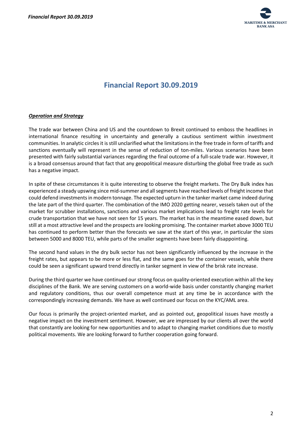

# **Financial Report 30.09.2019**

#### <span id="page-2-0"></span>*Operation and Strategy*

The trade war between China and US and the countdown to Brexit continued to emboss the headlines in international finance resulting in uncertainty and generally a cautious sentiment within investment communities. In analytic circles it is still unclarified what the limitations in the free trade in form of tariffs and sanctions eventually will represent in the sense of reduction of ton-miles. Various scenarios have been presented with fairly substantial variances regarding the final outcome of a full-scale trade war. However, it is a broad consensus around that fact that any geopolitical measure disturbing the global free trade as such has a negative impact.

In spite of these circumstances it is quite interesting to observe the freight markets. The Dry Bulk index has experienced a steady upswing since mid-summer and all segments have reached levels of freight income that could defend investments in modern tonnage. The expected upturn in the tanker market came indeed during the late part of the third quarter. The combination of the IMO 2020 getting nearer, vessels taken out of the market for scrubber installations, sanctions and various market implications lead to freight rate levels for crude transportation that we have not seen for 15 years. The market has in the meantime eased down, but still at a most attractive level and the prospects are looking promising. The container market above 3000 TEU has continued to perform better than the forecasts we saw at the start of this year, in particular the sizes between 5000 and 8000 TEU, while parts of the smaller segments have been fairly disappointing.

The second hand values in the dry bulk sector has not been significantly influenced by the increase in the freight rates, but appears to be more or less flat, and the same goes for the container vessels, while there could be seen a significant upward trend directly in tanker segment in view of the brisk rate increase.

During the third quarter we have continued our strong focus on quality-oriented execution within all the key disciplines of the Bank. We are serving customers on a world-wide basis under constantly changing market and regulatory conditions, thus our overall competence must at any time be in accordance with the correspondingly increasing demands. We have as well continued our focus on the KYC/AML area.

Our focus is primarily the project-oriented market, and as pointed out, geopolitical issues have mostly a negative impact on the investment sentiment. However, we are impressed by our clients all over the world that constantly are looking for new opportunities and to adapt to changing market conditions due to mostly political movements. We are looking forward to further cooperation going forward.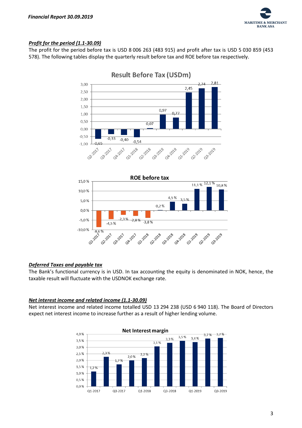

#### *Profit for the period (1.1-30.09)*

The profit for the period before tax is USD 8 006 263 (483 915) and profit after tax is USD 5 030 859 (453 578). The following tables display the quarterly result before tax and ROE before tax respectively.





#### *Deferred Taxes and payable tax*

The Bank's functional currency is in USD. In tax accounting the equity is denominated in NOK, hence, the taxable result will fluctuate with the USDNOK exchange rate.

#### *Net interest income and related income (1.1-30.09)*

Net interest income and related income totalled USD 13 294 238 (USD 6 940 118). The Board of Directors expect net interest income to increase further as a result of higher lending volume.

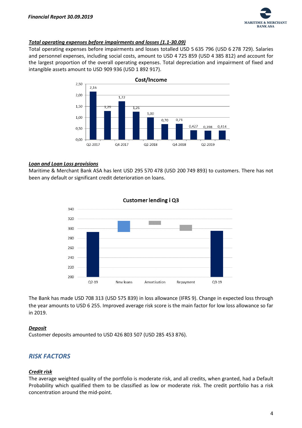

#### *Total operating expenses before impairments and losses (1.1-30.09)*

Total operating expenses before impairments and losses totalled USD 5 635 796 (USD 6 278 729). Salaries and personnel expenses, including social costs, amount to USD 4 725 859 (USD 4 385 812) and account for the largest proportion of the overall operating expenses. Total depreciation and impairment of fixed and intangible assets amount to USD 909 936 (USD 1 892 917).



#### *Loan and Loan Loss provisions*

Maritime & Merchant Bank ASA has lent USD 295 570 478 (USD 200 749 893) to customers. There has not been any default or significant credit deterioration on loans.



The Bank has made USD 708 313 (USD 575 839) in loss allowance (IFRS 9). Change in expected loss through the year amounts to USD 6 255. Improved average risk score is the main factor for low loss allowance so far in 2019.

#### *Deposit*

Customer deposits amounted to USD 426 803 507 (USD 285 453 876).

### *RISK FACTORS*

#### *Credit risk*

The average weighted quality of the portfolio is moderate risk, and all credits, when granted, had a Default Probability which qualified them to be classified as low or moderate risk. The credit portfolio has a risk concentration around the mid-point.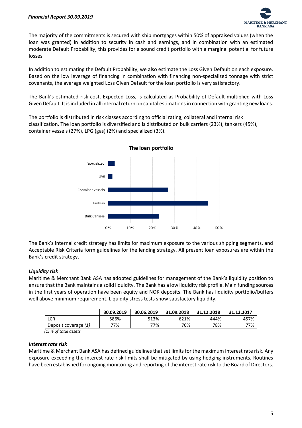

The majority of the commitments is secured with ship mortgages within 50% of appraised values (when the loan was granted) in addition to security in cash and earnings, and in combination with an estimated moderate Default Probability, this provides for a sound credit portfolio with a marginal potential for future losses.

In addition to estimating the Default Probability, we also estimate the Loss Given Default on each exposure. Based on the low leverage of financing in combination with financing non-specialized tonnage with strict covenants, the average weighted Loss Given Default for the loan portfolio is very satisfactory.

The Bank's estimated risk cost, Expected Loss, is calculated as Probability of Default multiplied with Loss Given Default. It is included in all internal return on capital estimations in connection with granting new loans.

The portfolio is distributed in risk classes according to official rating, collateral and internal risk classification. The loan portfolio is diversified and is distributed on bulk carriers (23%), tankers (45%), container vessels (27%), LPG (gas) (2%) and specialized (3%).



The Bank's internal credit strategy has limits for maximum exposure to the various shipping segments, and Acceptable Risk Criteria form guidelines for the lending strategy. All present loan exposures are within the Bank's credit strategy.

#### *Liquidity risk*

Maritime & Merchant Bank ASA has adopted guidelines for management of the Bank's liquidity position to ensure that the Bank maintains a solid liquidity. The Bank has a low liquidity risk profile. Main funding sources in the first years of operation have been equity and NOK deposits. The Bank has liquidity portfolio/buffers well above minimum requirement. Liquidity stress tests show satisfactory liquidity.

|                      | 30.09.2019 | 30.06.2019 | 31.09.2018 | 31.12.2018 | 31.12.2017 |
|----------------------|------------|------------|------------|------------|------------|
| LCR                  | 586%       | 513%       | 621%       | 444%       | 457%       |
| Deposit coverage (1) | 77%        | 77%        | 76%        | 78%        | 77%        |

 *(1) % of total assets*

#### *Interest rate risk*

Maritime & Merchant Bank ASA has defined guidelines that set limits for the maximum interest rate risk. Any exposure exceeding the interest rate risk limits shall be mitigated by using hedging instruments. Routines have been established for ongoing monitoring and reporting of the interest rate risk to the Board of Directors.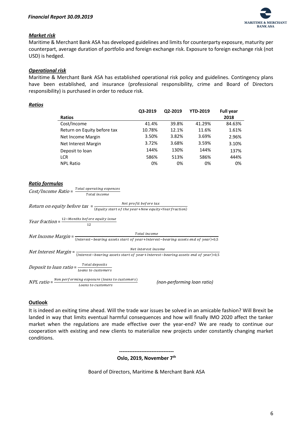

#### *Market risk*

Maritime & Merchant Bank ASA has developed guidelines and limits for counterparty exposure, maturity per counterpart, average duration of portfolio and foreign exchange risk. Exposure to foreign exchange risk (not USD) is hedged.

#### *Operational risk*

Maritime & Merchant Bank ASA has established operational risk policy and guidelines. Contingency plans have been established, and insurance (professional responsibility, crime and Board of Directors responsibility) is purchased in order to reduce risk.

|                             | Q3-2019 | Q2-2019 | <b>YTD-2019</b> | <b>Full year</b> |
|-----------------------------|---------|---------|-----------------|------------------|
| <b>Ratios</b>               |         |         |                 | 2018             |
| Cost/Income                 | 41.4%   | 39.8%   | 41.29%          | 84.63%           |
| Return on Equity before tax | 10.78%  | 12.1%   | 11.6%           | 1.61%            |
| Net Income Margin           | 3.50%   | 3.82%   | 3.69%           | 2.96%            |
| Net Interest Margin         | 3.72%   | 3.68%   | 3.59%           | 3.10%            |
| Deposit to loan             | 144%    | 130%    | 144%            | 137%             |
| <b>LCR</b>                  | 586%    | 513%    | 586%            | 444%             |
| <b>NPL Ratio</b>            | 0%      | 0%      | 0%              | 0%               |

#### *Ratio formulas*

 $Cost/ Income$  Ratio =  $\frac{Total$  operating expences

Total income

Return on equity before tax =  $\frac{Net\ profit\ before\ tax}{(E\ circuit\ rate\ of\ the\ year\ New\ cavity\)}$ (Equity start of the year+New equity\*Yearfraction)

*Year fraction* =  $\frac{12 - \text{Monthly before equity issue}}{12}$ 12

Total income<br>Net Income Margin =  $\frac{1}{(Interest - bearing\,a\,s\,c\,s\,t\,s\,t\,s\,t)}$ (Interest–bearing assets start of year+Interest–bearing assets end of year)\*0,5

Net Interest Margin =<br>Net Interest Margin =  $\frac{N}{(Interest - bearing)g}$  assets start of year Unterest... (Interest–bearing assets start of year+Interest–bearing assets end of year)\*0,5

Deposit to loan ratio =  $\frac{Total\ deposits}{Length}$ Loans to customers

 $NPL$  ratio =  $\frac{Non\,performing\,exposure\,(loans\ to\ customers)}{I\,cons\,to\,cutcm\,arc}$ Loans to customers

*(non-performing loan ratio)*

#### **Outlook**

It is indeed an exiting time ahead. Will the trade war issues be solved in an amicable fashion? Will Brexit be landed in way that limits eventual harmful consequences and how will finally IMO 2020 affect the tanker market when the regulations are made effective over the year-end? We are ready to continue our cooperation with existing and new clients to materialize new projects under constantly changing market conditions.

> **-------------------------------- Oslo, 2019, November 7th**

Board of Directors, Maritime & Merchant Bank ASA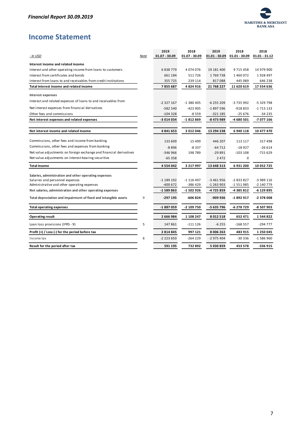

# <span id="page-7-0"></span>**Income Statement**

| - In USD                                                            | Note | 2019<br>$01.07 - 30.09$ | 2018<br>01.07 - 30.09 | 2019<br>01.01 - 30.09 | 2018<br>$01.01 - 30.09$ | 2018<br>$01.01 - 31.12$ |
|---------------------------------------------------------------------|------|-------------------------|-----------------------|-----------------------|-------------------------|-------------------------|
|                                                                     |      |                         |                       |                       |                         |                         |
| Interest income and related income                                  |      |                         |                       |                       |                         |                         |
| Interest and other operating income from loans to customers         |      | 6838779                 | 4074076               | 19 181 400            | 9715458                 | 14 979 900              |
| Interest from certificates and bonds                                |      | 661 184                 | 511726                | 1769738               | 1460072                 | 1928 497                |
| Interest from loans to and receivables from credit institutions     |      | 355 725                 | 239 114               | 817088                | 445 089                 | 646 238                 |
| Total interest income and related income                            |      | 7855687                 | 4824916               | 21 768 227            | 11 620 619              | 17 554 636              |
| <b>Interest expenses</b>                                            |      |                         |                       |                       |                         |                         |
| Interest and related expenses of loans to and receivables from      |      | $-2327167$              | -1 380 405            | $-6255209$            | -3 735 992              | -5 329 798              |
| Net interest expenses from financial derivatives                    |      | $-582540$               | $-423905$             | -1 897 596            | -918 833                | -1 713 133              |
| Other fees and commissions                                          |      | $-104328$               | -8 559                | -321 185              | $-25676$                | -34 235                 |
| Net interest expenses and related expenses                          |      | -3 014 034              | -1812869              | -8 473 989            | -4 680 501              | -7 077 166              |
| Net interest income and related income                              |      | 4841653                 | 3 012 046             | 13 294 238            | 6940118                 | 10 477 470              |
|                                                                     |      |                         |                       |                       |                         |                         |
| Commissions, other fees and income from banking                     |      | 133 609                 | 15 4 9 9              | 446 207               | 113 117                 | 317498                  |
| Commissions, other fees and expenses from banking                   |      | $-8896$                 | $-8337$               | $-64712$              | $-18927$                | $-26614$                |
| Net value adjustments on foreign exchange and financial derivatives |      | $-346966$               | 198 789               | $-29891$              | $-103108$               | $-715629$               |
| Net value adjustments on interest-bearing securities                |      | $-65358$                |                       | 2472                  | 0                       |                         |
| <b>Total income</b>                                                 |      | 4 5 5 4 0 4 2           | 3 217 997             | 13 648 313            | 6931200                 | 10 052 725              |
| Salaries, administration and other operating expenses               |      |                         |                       |                       |                         |                         |
| Salaries and personnel expenses                                     |      | $-1189192$              | $-1$ 116 497          | $-3461956$            | $-2833827$              | $-3989116$              |
| Administrative and other operating expenses                         |      | -400 672                | -386 429              | $-1263903$            | -1 551 985              | -2 140 779              |
| Net salaries, administration and other operating expenses           |      | $-1589863$              | -1 502 926            | -4 725 859            | -4 385 812              | -6 129 895              |
| Total depreciation and impairment of fixed and intangible assets    | 9    | -297 195                | $-606824$             | -909 936              | -1892917                | -2378008                |
| <b>Total operating expenses</b>                                     |      | -1887059                | -2 109 750            | -5 635 796            | -6 278 729              | -8 507 903              |
| <b>Operating result</b>                                             |      | 2 666 984               | 1 108 247             | 8 0 1 2 5 1 8         | 652 471                 | 1544822                 |
| Loan loss provisions (IFRS - 9)                                     | 5    | 147861                  | $-1111126$            | $-6255$               | $-168557$               | $-294777$               |
| Profit (+) / Loss (-) for the period before tax                     |      | 2814845                 | 997 121               | 8 006 263             | 483 915                 | 1 250 045               |
| Income tax                                                          | 6    | $-2223650$              | $-264229$             | -2 975 404            | $-30336$                | $-1586960$              |
| Result for the period after tax                                     |      | 591 195                 | 732 892               | 5 030 859             | 453 578                 | -336 915                |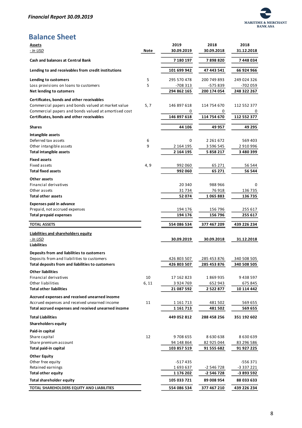

# **Balance Sheet**

| <b>Assets</b><br><u>- In USD</u>                                                                  | <b>Note</b> | 2019<br>30.09.2019         | 2018<br>30.09.2018         | 2018<br>31.12.2018         |
|---------------------------------------------------------------------------------------------------|-------------|----------------------------|----------------------------|----------------------------|
| <b>Cash and balances at Central Bank</b>                                                          |             | 7 180 197                  | 7898820                    | 7448034                    |
| Lending to and receivables from credit institutions                                               |             | 101 699 942                | 47 443 541                 | 66 924 966                 |
| Lending to customers                                                                              | 5           | 295 570 478                | 200 749 893                | 249 024 326                |
| Loss provisions on loans to customers                                                             | 5           | -708 313                   | -575 839                   | -702 059                   |
| Net lending to cutomers                                                                           |             | 294 862 165                | 200 174 054                | 248 322 267                |
| Certificates, bonds and other receivables                                                         |             |                            |                            |                            |
| Commercial papers and bonds valued at market value                                                | 5, 7        | 146 897 618                | 114 754 670                | 112 552 377                |
| Commercial papers and bonds valued at amortised cost<br>Certificates, bonds and other receivables |             | 0                          | 0                          | 0                          |
|                                                                                                   |             | 146 897 618                | 114 754 670                | 112 552 377                |
| Shares                                                                                            |             | 44 106                     | 49 957                     | 49 295                     |
| Intangible assets                                                                                 |             |                            |                            |                            |
| Deferred tax assets                                                                               | 6           | 0                          | 2 2 6 1 6 7 2              | 569 403                    |
| Other intangible assets<br><b>Total intangible assets</b>                                         | 9           | 2 164 195<br>2 164 195     | 3 5 9 6 5 4 5<br>5 858 217 | 2 910 996<br>3 480 399     |
| <b>Fixed assets</b>                                                                               |             |                            |                            |                            |
| Fixed assets                                                                                      | 4,9         | 992 060                    | 65 271                     | 56 544                     |
| <b>Total fixed assets</b>                                                                         |             | 992 060                    | 65 271                     | 56 544                     |
| Other assets                                                                                      |             |                            |                            |                            |
| Financial derivatives                                                                             |             | 20 340                     | 988 966                    | 0                          |
| Other assets                                                                                      |             | 31734                      | 76 918                     | 136 735                    |
| <b>Total other assets</b>                                                                         |             | 52074                      | 1065883                    | 136 735                    |
| <b>Expenses paid in advance</b>                                                                   |             |                            |                            |                            |
| Prepaid, not accrued expenses                                                                     |             | 194 176                    | 156 796                    | 255 617                    |
| <b>Total prepaid expenses</b>                                                                     |             | 194 176                    | 156 796                    | 255 617                    |
| <b>TOTAL ASSETS</b>                                                                               |             | 554 086 534                | 377 467 209                | 439 226 234                |
| Liabilities and shareholders equity                                                               |             |                            |                            |                            |
| - In USD                                                                                          |             | 30.09.2019                 | 30.09.2018                 | 31.12.2018                 |
| <b>Liabilities</b>                                                                                |             |                            |                            |                            |
| Deposits from and liabilities to customers                                                        |             |                            |                            |                            |
| Deposits from and liabilities to customers<br>Total deposits from and liabilities to customers    |             | 426 803 507<br>426 803 507 | 285 453 876<br>285 453 876 | 340 508 505<br>340 508 505 |
| <b>Other liabilities</b>                                                                          |             |                            |                            |                            |
| Financial derivatives                                                                             | 10          | 17 162 823                 | 1869935                    | 9 438 597                  |
| Other liabilities                                                                                 | 6,11        | 3 9 2 4 7 6 9              | 652 943                    | 675 845                    |
| <b>Total other liabilities</b>                                                                    |             | 21 087 592                 | 2 5 2 2 8 7 7              | 10 114 442                 |
| Accrued expenses and received unearned income                                                     |             |                            |                            |                            |
| Accrued expenses and received unearned income                                                     | 11          | 1 161 713                  | 481502                     | 569 655                    |
| Total accrued expenses and received unearned income                                               |             | 1 161 713                  | 481 502                    | 569 655                    |
| <b>Total Liabilities</b>                                                                          |             | 449 052 812                | 288 458 256                | 351 192 602                |
| <b>Shareholders equity</b>                                                                        |             |                            |                            |                            |
| Paid-in capital                                                                                   |             |                            |                            |                            |
| Share capital                                                                                     | 12          | 9708655                    | 8 630 638                  | 8 630 639                  |
| Share premium account<br>Total paid-in capital                                                    |             | 94 148 864<br>103 857 519  | 82 925 044<br>91 555 682   | 83 296 586<br>91 927 225   |
|                                                                                                   |             |                            |                            |                            |
| <b>Other Equity</b><br>Other free equity                                                          |             | -517435                    |                            | -556 371                   |
| Retained earnings                                                                                 |             | 1693637                    | -2 546 728                 | -3 337 221                 |
| <b>Total other equity</b>                                                                         |             | 1 176 202                  | -2 546 728                 | -3 893 592                 |
| <b>Total shareholder equity</b>                                                                   |             | 105 033 721                | 89 008 954                 | 88 033 633                 |
| TOTAL SHAREHOLDERS EQUITY AND LIABILITIES                                                         |             | 554 086 534                | 377 467 210                | 439 226 234                |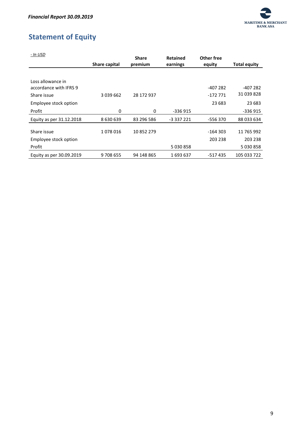

# <span id="page-9-0"></span>**Statement of Equity**

| - In USD                 |               | <b>Share</b> | <b>Retained</b> | Other free |                     |
|--------------------------|---------------|--------------|-----------------|------------|---------------------|
|                          | Share capital | premium      | earnings        | equity     | <b>Total equity</b> |
|                          |               |              |                 |            |                     |
| Loss allowance in        |               |              |                 |            |                     |
| accordance with IFRS 9   |               |              |                 | $-407282$  | $-407282$           |
| Share issue              | 3 0 3 9 6 6 2 | 28 172 937   |                 | -172 771   | 31 039 828          |
| Employee stock option    |               |              |                 | 23 683     | 23 683              |
| Profit                   | 0             | 0            | $-336915$       |            | -336 915            |
| Equity as per 31.12.2018 | 8 630 639     | 83 296 586   | -3 337 221      | -556 370   | 88 033 634          |
|                          |               |              |                 |            |                     |
| Share issue              | 1078016       | 10852279     |                 | $-164303$  | 11 765 992          |
| Employee stock option    |               |              |                 | 203 238    | 203 238             |
| Profit                   |               |              | 5 030 858       |            | 5030858             |
| Equity as per 30.09.2019 | 9708655       | 94 148 865   | 1693637         | -517435    | 105 033 722         |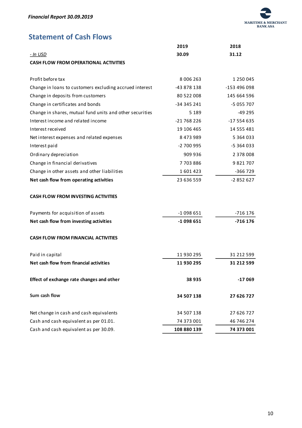

# <span id="page-10-0"></span>**Statement of Cash Flows**

|                                                          | 2019        | 2018          |
|----------------------------------------------------------|-------------|---------------|
| <u>- In USD</u>                                          | 30.09       | 31.12         |
| <b>CASH FLOW FROM OPERATIONAL ACTIVITIES</b>             |             |               |
| Profit before tax                                        | 8 006 263   | 1 250 045     |
| Change in loans to customers excluding accrued interest  | -43 878 138 | -153 496 098  |
| Change in deposits from customers                        | 80 522 008  | 145 664 596   |
| Change in certificates and bonds                         | -34 345 241 | -5 055 707    |
| Change in shares, mutual fund units and other securities | 5 1 8 9     | -49 295       |
| Interest income and related income                       | -21 768 226 | $-17554635$   |
| Interest received                                        | 19 106 465  | 14 555 481    |
| Net interest expenses and related expenses               | 8 473 989   | 5 3 6 4 0 3 3 |
| Interest paid                                            | $-2700995$  | -5 364 033    |
| Ordinary depreciation                                    | 909 936     | 2 378 008     |
| Change in financial derivatives                          | 7703886     | 9821707       |
| Change in other assets and other liabilities             | 1601423     | -366 729      |
| Net cash flow from operating activities                  | 23 636 559  | $-2852627$    |
| <b>CASH FLOW FROM INVESTING ACTIVITIES</b>               |             |               |
| Payments for acquisition of assets                       | $-1098651$  | $-716$ 176    |
| Net cash flow from investing activities                  | $-1098651$  | $-716176$     |
| <b>CASH FLOW FROM FINANCIAL ACTIVITIES</b>               |             |               |
| Paid in capital                                          | 11 930 295  | 31 212 599    |
| Net cash flow from financial activities                  | 11 930 295  | 31 212 599    |
| Effect of exchange rate changes and other                | 38 935      | $-17069$      |
| Sum cash flow                                            | 34 507 138  | 27 626 727    |
| Net change in cash and cash equivalents                  | 34 507 138  | 27 626 727    |
| Cash and cash equivalent as per 01.01.                   | 74 373 001  | 46 746 274    |
| Cash and cash equivalent as per 30.09.                   | 108 880 139 | 74 373 001    |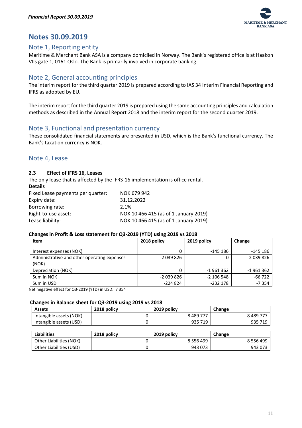

# <span id="page-11-0"></span>**Notes 30.09.2019**

# <span id="page-11-1"></span>Note 1, Reporting entity

Maritime & Merchant Bank ASA is a company domiciled in Norway. The Bank's registered office is at Haakon VIIs gate 1, 0161 Oslo. The Bank is primarily involved in corporate banking.

# <span id="page-11-2"></span>Note 2, General accounting principles

The interim report for the third quarter 2019 is prepared according to IAS 34 Interim Financial Reporting and IFRS as adopted by EU.

The interim report for the third quarter 2019 is prepared using the same accounting principles and calculation methods as described in the Annual Report 2018 and the interim report for the second quarter 2019.

# <span id="page-11-3"></span>Note 3, Functional and presentation currency

These consolidated financial statements are presented in USD, which is the Bank's functional currency. The Bank's taxation currency is NOK.

# <span id="page-11-4"></span>Note 4, Lease

#### **2.3 Effect of IFRS 16, Leases**

The only lease that is affected by the IFRS-16 implementation is office rental.

| <b>Details</b>                    |                                       |
|-----------------------------------|---------------------------------------|
| Fixed Lease payments per quarter: | NOK 679 942                           |
| Expiry date:                      | 31.12.2022                            |
| Borrowing rate:                   | 2.1%                                  |
| Right-to-use asset:               | NOK 10 466 415 (as of 1 January 2019) |
| Lease liability:                  | NOK 10 466 415 (as of 1 January 2019) |

#### **Changes in Profit & Loss statement for Q3-2019 (YTD) using 2019 vs 2018**

| Item                                                 | 2018 policy | 2019 policy  | Change     |
|------------------------------------------------------|-------------|--------------|------------|
| Interest expenses (NOK)                              | 0           | $-145186$    | -145 186   |
| Administrative and other operating expenses<br>(NOK) | $-2039826$  |              | 2039826    |
| Depreciation (NOK)                                   |             | $-1961362$   | $-1961362$ |
| Sum in NOK                                           | $-2039826$  | $-2$ 106 548 | $-66722$   |
| Sum in USD                                           | $-224824$   | $-232178$    | $-7354$    |

Net negative effect for Q3-2019 (YTD) in USD: 7 354

#### **Changes in Balance sheet for Q3-2019 using 2019 vs 2018**

| <b>Assets</b>           | 2018 policy | 2019 policy | Change    |
|-------------------------|-------------|-------------|-----------|
| Intangible assets (NOK) |             | 8 489 777   | 8 489 77. |
| Intangible assets (USD) |             | 935 719     | 935 719   |

| <b>Liabilities</b>      | 2018 policy | 2019 policy   | Change        |
|-------------------------|-------------|---------------|---------------|
| Other Liabilities (NOK) |             | 8 5 5 6 4 9 9 | 8 5 5 6 4 9 9 |
| Other Liabilities (USD) |             | 943 073       | 943 073       |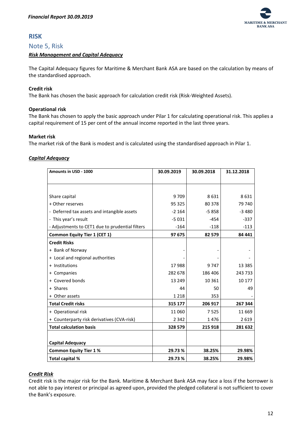

# <span id="page-12-0"></span>**RISK**

#### <span id="page-12-1"></span>Note 5, Risk

#### <span id="page-12-2"></span>*Risk Management and Capital Adequacy*

The Capital Adequacy figures for Maritime & Merchant Bank ASA are based on the calculation by means of the standardised approach.

#### **Credit risk**

The Bank has chosen the basic approach for calculation credit risk (Risk-Weighted Assets).

#### **Operational risk**

The Bank has chosen to apply the basic approach under Pilar 1 for calculating operational risk. This applies a capital requirement of 15 per cent of the annual income reported in the last three years.

#### **Market risk**

The market risk of the Bank is modest and is calculated using the standardised approach in Pilar 1.

#### <span id="page-12-3"></span>*Capital Adequacy*

| Amounts in USD - 1000                           | 30.09.2019 | 30.09.2018 | 31.12.2018 |
|-------------------------------------------------|------------|------------|------------|
|                                                 |            |            |            |
|                                                 |            |            |            |
| Share capital                                   | 9709       | 8631       | 8631       |
| + Other reserves                                | 95 325     | 80 378     | 79 740     |
| - Deferred tax assets and intangible assets     | $-2164$    | $-5858$    | $-3480$    |
| - This year's result                            | $-5031$    | $-454$     | $-337$     |
| - Adjustments to CET1 due to prudential filters | $-164$     | $-118$     | $-113$     |
| <b>Common Equity Tier 1 (CET 1)</b>             | 97 675     | 82 579     | 84 441     |
| <b>Credit Risks</b>                             |            |            |            |
| + Bank of Norway                                |            |            |            |
| + Local and regional authorities                |            |            |            |
| + Institutions                                  | 17988      | 9747       | 13 3 8 5   |
| + Companies                                     | 282 678    | 186 406    | 243733     |
| + Covered bonds                                 | 13 2 49    | 10 3 6 1   | 10 177     |
| + Shares                                        | 44         | 50         | 49         |
| + Other assets                                  | 1 2 1 8    | 353        |            |
| <b>Total Credit risks</b>                       | 315 177    | 206 917    | 267 344    |
| + Operational risk                              | 11 0 60    | 7525       | 11 669     |
| + Counterparty risk derivatives (CVA-risk)      | 2 3 4 2    | 1476       | 2619       |
| <b>Total calculation basis</b>                  | 328 579    | 215 918    | 281 632    |
|                                                 |            |            |            |
| <b>Capital Adequacy</b>                         |            |            |            |
| <b>Common Equity Tier 1%</b>                    | 29.73%     | 38.25%     | 29.98%     |
| Total capital %                                 | 29.73%     | 38.25%     | 29.98%     |

#### <span id="page-12-4"></span>*Credit Risk*

Credit risk is the major risk for the Bank. Maritime & Merchant Bank ASA may face a loss if the borrower is not able to pay interest or principal as agreed upon, provided the pledged collateral is not sufficient to cover the Bank's exposure.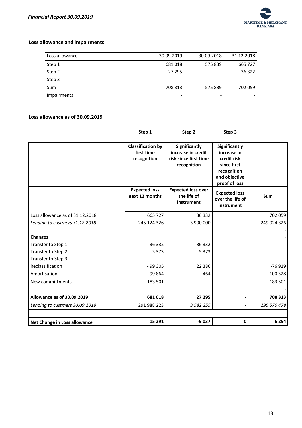

#### **Loss allowance and impairments**

| Loss allowance     | 30.09.2019 | 30.09.2018 | 31.12.2018 |
|--------------------|------------|------------|------------|
| Step 1             | 681018     | 575839     | 665 727    |
| Step 2             | 27 295     |            | 36 322     |
| Step 3             |            |            |            |
| Sum                | 708 313    | 575839     | 702 059    |
| <b>Impairments</b> | -          | -          |            |

## **Loss allowance as of 30.09.2019**

| Step 1                                                | Step 2                                                                      | Step 3                                                                                                             |             |
|-------------------------------------------------------|-----------------------------------------------------------------------------|--------------------------------------------------------------------------------------------------------------------|-------------|
| <b>Classification by</b><br>first time<br>recognition | Significantly<br>increase in credit<br>risk since first time<br>recognition | <b>Significantly</b><br>increase in<br>credit risk<br>since first<br>recognition<br>and objective<br>proof of loss |             |
| <b>Expected loss</b><br>next 12 months                | <b>Expected loss over</b><br>the life of<br>instrument                      | <b>Expected loss</b><br>over the life of<br>instrument                                                             | Sum         |
| 665 727                                               | 36 332                                                                      |                                                                                                                    | 702 059     |
| 245 124 326                                           | 3 900 000                                                                   |                                                                                                                    | 249 024 326 |
|                                                       |                                                                             |                                                                                                                    |             |
| 36 332                                                | $-36332$                                                                    |                                                                                                                    |             |
| $-5373$                                               | 5 3 7 3                                                                     |                                                                                                                    |             |
|                                                       |                                                                             |                                                                                                                    |             |
| $-99305$                                              | 22 3 8 6                                                                    |                                                                                                                    | $-76919$    |
| $-99864$                                              | $-464$                                                                      |                                                                                                                    | $-100328$   |
| 183 501                                               |                                                                             |                                                                                                                    | 183 501     |
| 681018                                                | 27 295                                                                      |                                                                                                                    | 708 313     |
| 291 988 223                                           | 3 5 8 2 2 5 5                                                               |                                                                                                                    | 295 570 478 |
| 15 29 1                                               | -9 037                                                                      | 0                                                                                                                  | 6 2 5 4     |
|                                                       |                                                                             |                                                                                                                    |             |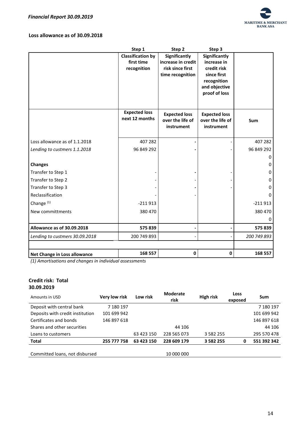

#### **Loss allowance as of 30.09.2018**

|                                | Step 1                   | Step 2               | Step 3                       |             |
|--------------------------------|--------------------------|----------------------|------------------------------|-------------|
|                                | <b>Classification by</b> | Significantly        | <b>Significantly</b>         |             |
|                                | first time               | increase in credit   | increase in                  |             |
|                                | recognition              | risk since first     | credit risk                  |             |
|                                |                          | time recognition     | since first                  |             |
|                                |                          |                      | recognition<br>and objective |             |
|                                |                          |                      | proof of loss                |             |
|                                |                          |                      |                              |             |
|                                |                          |                      |                              |             |
|                                | <b>Expected loss</b>     | <b>Expected loss</b> | <b>Expected loss</b>         |             |
|                                | next 12 months           | over the life of     | over the life of             | Sum         |
|                                |                          | instrument           | instrument                   |             |
|                                |                          |                      |                              |             |
| Loss allowance as of 1.1.2018  | 407 282                  |                      |                              | 407 282     |
| Lending to custmers 1.1.2018   | 96 849 292               |                      |                              | 96 849 292  |
|                                |                          |                      |                              | 0           |
| <b>Changes</b>                 |                          |                      |                              | 0           |
| Transfer to Step 1             |                          |                      |                              | 0           |
| Transfer to Step 2             |                          |                      |                              | 0           |
| Transfer to Step 3             |                          |                      |                              | 0           |
| Reclassification               |                          |                      |                              | 0           |
| Change <sup>(1)</sup>          | $-211913$                |                      |                              | $-211913$   |
| New committments               | 380 470                  |                      |                              | 380 470     |
|                                |                          |                      |                              | 0           |
| Allowance as of 30.09.2018     | 575839                   |                      |                              | 575839      |
| Lending to custmers 30.09.2018 | 200 749 893              |                      |                              | 200 749 893 |
|                                |                          |                      |                              |             |
| Net Change in Loss allowance   | 168 557                  | 0                    | 0                            | 168 557     |

*(1) Amortisations and changes in individual assessments*

#### **Credit risk: Total 30.09.2019**

| Amounts in USD                   | Very low risk | Low risk   | <b>Moderate</b><br>risk | High risk     | Loss<br>exposed | Sum         |
|----------------------------------|---------------|------------|-------------------------|---------------|-----------------|-------------|
| Deposit with central bank        | 7 180 197     |            |                         |               |                 | 7 180 197   |
| Deposits with credit institution | 101 699 942   |            |                         |               |                 | 101 699 942 |
| Certificates and bonds           | 146 897 618   |            |                         |               |                 | 146 897 618 |
| Shares and other securities      |               |            | 44 106                  |               |                 | 44 106      |
| Loans to customers               |               | 63 423 150 | 228 565 073             | 3 5 8 2 2 5 5 |                 | 295 570 478 |
| <b>Total</b>                     | 255 777 758   | 63 423 150 | 228 609 179             | 3 5 8 2 2 5 5 | 0               | 551 392 342 |
|                                  |               |            |                         |               |                 |             |
| Committed loans, not disbursed   |               |            | 10 000 000              |               |                 |             |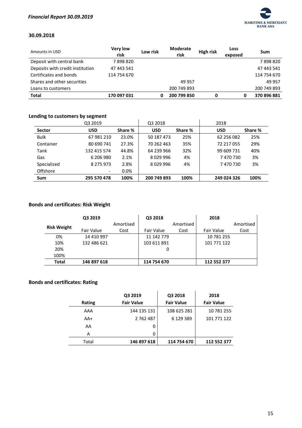

#### **30.09.2018**

| Amounts in USD                   | <b>Very low</b><br>risk | Low risk | Moderate<br>risk | <b>High risk</b> | Loss<br>exposed | Sum         |
|----------------------------------|-------------------------|----------|------------------|------------------|-----------------|-------------|
| Deposit with central bank        | 7898820                 |          |                  |                  |                 | 7898820     |
| Deposits with credit institution | 47 443 541              |          |                  |                  |                 | 47 443 541  |
| Certificates and bonds           | 114 754 670             |          |                  |                  |                 | 114 754 670 |
| Shares and other securities      |                         |          | 49 957           |                  |                 | 49 957      |
| Loans to customers               |                         |          | 200 749 893      |                  |                 | 200 749 893 |
| <b>Total</b>                     | 170 097 031             | 0        | 200 799 850      |                  | 0               | 370 896 881 |

## **Lending to customers by segment**

|               | Q3 2019     |         | Q3 2018     |         | 2018        |         |
|---------------|-------------|---------|-------------|---------|-------------|---------|
| <b>Sector</b> | <b>USD</b>  | Share % | <b>USD</b>  | Share % | <b>USD</b>  | Share % |
| <b>Bulk</b>   | 67 981 210  | 23.0%   | 50 187 473  | 25%     | 62 256 082  | 25%     |
| Container     | 80 690 741  | 27.3%   | 70 262 463  | 35%     | 72 217 055  | 29%     |
| Tank          | 132 415 574 | 44.8%   | 64 239 966  | 32%     | 99 609 731  | 40%     |
| Gas           | 6 206 980   | 2.1%    | 8029996     | 4%      | 7470730     | 3%      |
| Specialized   | 8 275 973   | 2.8%    | 8029996     | 4%      | 7470730     | 3%      |
| Offshore      | -           | $0.0\%$ |             |         |             |         |
| <b>Sum</b>    | 295 570 478 | 100%    | 200 749 893 | 100%    | 249 024 326 | 100%    |

## **Bonds and certificates: Risk Weight**

|                    | Q3 2019     |           | Q3 2018     |           | 2018        |           |
|--------------------|-------------|-----------|-------------|-----------|-------------|-----------|
| <b>Risk Weight</b> |             | Amortised |             | Amortised |             | Amortised |
|                    | Fair Value  | Cost      | Fair Value  | Cost      | Fair Value  | Cost      |
| 0%                 | 14 410 997  |           | 11 142 779  |           | 10 781 255  |           |
| 10%                | 132 486 621 |           | 103 611 891 |           | 101 771 122 |           |
| 20%                |             |           | 0           |           |             |           |
| 100%               |             |           |             |           |             |           |
| <b>Total</b>       | 146 897 618 |           | 114 754 670 |           | 112 552 377 |           |

## **Bonds and certificates: Rating**

|               | Q3 2019           | Q3 2018           | 2018              |
|---------------|-------------------|-------------------|-------------------|
| <b>Rating</b> | <b>Fair Value</b> | <b>Fair Value</b> | <b>Fair Value</b> |
| AAA           | 144 135 131       | 108 625 281       | 10 781 255        |
| AA+           | 2 7 6 2 4 8 7     | 6 129 389         | 101 771 122       |
| AA            | 0                 |                   |                   |
| А             | 0                 |                   |                   |
| Total         | 146 897 618       | 114 754 670       | 112 552 377       |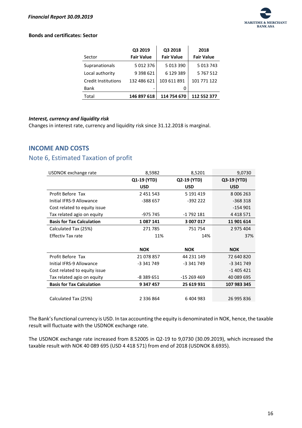

#### **Bonds and certificates: Sector**

| Sector                     | Q3 2019<br><b>Fair Value</b> | Q3 2018<br><b>Fair Value</b> | 2018<br><b>Fair Value</b> |
|----------------------------|------------------------------|------------------------------|---------------------------|
| Supranationals             | 5 012 376                    | 5 013 390                    | 5 013 743                 |
| Local authority            | 9 3 9 8 6 2 1                | 6 129 389                    | 5 767 512                 |
| <b>Credit Institutions</b> | 132 486 621                  | 103 611 891                  | 101 771 122               |
| Bank                       |                              | 0                            |                           |
| Total                      | 146 897 618                  | 114 754 670                  | 112 552 377               |

#### <span id="page-16-0"></span>*Interest, currency and liquidity risk*

Changes in interest rate, currency and liquidity risk since 31.12.2018 is marginal.

# <span id="page-16-1"></span>**INCOME AND COSTS**

# <span id="page-16-2"></span>Note 6, Estimated Taxation of profit

| USDNOK exchange rate             | 8,5982        | 8,5201      | 9,0730        |
|----------------------------------|---------------|-------------|---------------|
|                                  | Q1-19 (YTD)   | Q2-19 (YTD) | Q3-19 (YTD)   |
|                                  | <b>USD</b>    | <b>USD</b>  | <b>USD</b>    |
| Profit Before Tax                | 2 451 543     | 5 191 419   | 8 0 0 6 2 6 3 |
| Initial IFRS-9 Allowance         | -388 657      | $-39222$    | $-368318$     |
| Cost related to equity issue     |               |             | $-154901$     |
| Tax related agio on equity       | -975 745      | -1 792 181  | 4 4 18 5 7 1  |
| <b>Basis for Tax Calculation</b> | 1087141       | 3 007 017   | 11 901 614    |
| Calculated Tax (25%)             | 271 785       | 751 754     | 2 975 404     |
| <b>Effectiv Tax rate</b>         | 11%           | 14%         | 37%           |
|                                  |               |             |               |
|                                  | <b>NOK</b>    | <b>NOK</b>  | <b>NOK</b>    |
| Profit Before Tax                | 21 078 857    | 44 231 149  | 72 640 820    |
| Initial IFRS-9 Allowance         | -3 341 749    | -3 341 749  | -3 341 749    |
| Cost related to equity issue     |               |             | $-1405421$    |
| Tax related agio on equity       | -8 389 651    | -15 269 469 | 40 089 695    |
| <b>Basis for Tax Calculation</b> | 9 347 457     | 25 619 931  | 107 983 345   |
|                                  |               |             |               |
| Calculated Tax (25%)             | 2 3 3 6 8 6 4 | 6 404 983   | 26 995 836    |

The Bank's functional currency is USD. In tax accounting the equity is denominated in NOK, hence, the taxable result will fluctuate with the USDNOK exchange rate.

The USDNOK exchange rate increased from 8.52005 in Q2-19 to 9,0730 (30.09.2019), which increased the taxable result with NOK 40 089 695 (USD 4 418 571) from end of 2018 (USDNOK 8.6935).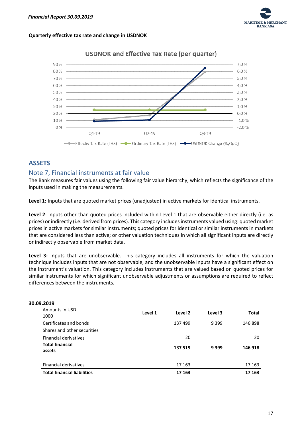

#### **Quarterly effective tax rate and change in USDNOK**



# **USDNOK and Effective Tax Rate (per quarter)**

# <span id="page-17-0"></span>**ASSETS**

# <span id="page-17-1"></span>Note 7, Financial instruments at fair value

The Bank measures fair values using the following fair value hierarchy, which reflects the significance of the inputs used in making the measurements.

**Level 1:** Inputs that are quoted market prices (unadjusted) in active markets for identical instruments.

**Level 2**: Inputs other than quoted prices included within Level 1 that are observable either directly (i.e. as prices) or indirectly (i.e. derived from prices). This category includes instruments valued using: quoted market prices in active markets for similar instruments; quoted prices for identical or similar instruments in markets that are considered less than active; or other valuation techniques in which all significant inputs are directly or indirectly observable from market data.

**Level 3:** Inputs that are unobservable. This category includes all instruments for which the valuation technique includes inputs that are not observable, and the unobservable inputs have a significant effect on the instrument's valuation. This category includes instruments that are valued based on quoted prices for similar instruments for which significant unobservable adjustments or assumptions are required to reflect differences between the instruments.

| 9.ZUTA                             |         |         |         |        |
|------------------------------------|---------|---------|---------|--------|
| Amounts in USD<br>1000             | Level 1 | Level 2 | Level 3 | Total  |
| Certificates and bonds             |         | 137 499 | 9 3 9 9 | 146898 |
| Shares and other securities        |         |         |         |        |
| <b>Financial derivatives</b>       |         | 20      |         | 20     |
| <b>Total financial</b>             |         | 137 519 | 9 3 9 9 | 146918 |
| assets                             |         |         |         |        |
|                                    |         |         |         |        |
| <b>Financial derivatives</b>       |         | 17 163  |         | 17 163 |
| <b>Total financial liabilities</b> |         | 17 163  |         | 17 163 |

## **30.09.2019**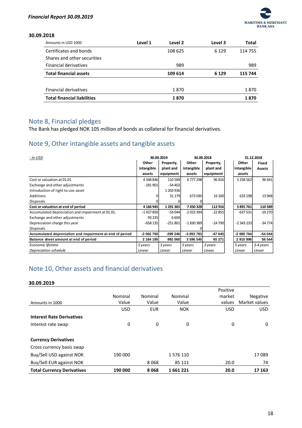

#### **30.09.2018**

| Amounts in USD 1000                | Level 1 | Level <sub>2</sub> | Level 3 | Total   |
|------------------------------------|---------|--------------------|---------|---------|
| Certificates and bonds             |         | 108 625            | 6 1 2 9 | 114 755 |
| Shares and other securities        |         |                    |         |         |
| <b>Financial derivatives</b>       |         | 989                |         | 989     |
| <b>Total financial assets</b>      |         | 109 614            | 6 1 2 9 | 115 744 |
|                                    |         |                    |         |         |
| <b>Financial derivatives</b>       |         | 1870               |         | 1870    |
| <b>Total financial liabilities</b> |         | 1870               |         | 1870    |

# <span id="page-18-0"></span>Note 8, Financial pledges

The Bank has pledged NOK 105 million of bonds as collateral for financial derivatives.

# <span id="page-18-1"></span>Note 9, Other intangible assets and tangible assets

| - In USD                                                 |            | 30.09.2019 | 30.09.2018 |           | 31.12.2018    |               |
|----------------------------------------------------------|------------|------------|------------|-----------|---------------|---------------|
|                                                          | Other      | Property,  | Other      | Property, | Other         | Fixed         |
|                                                          | intangible | plant and  | intangible | plant and | intangible    | <b>Assets</b> |
|                                                          | assets     | equipment  | assets     | equipment | assets        |               |
| Cost or valuation at 01.01                               | 4 348 846  | 110589     | 6777298    | 96816     | 5 2 5 8 5 6 2 | 96 641        |
| Exchange and other adjustments                           | $-181901$  | $-54402$   |            |           |               |               |
| Introduction of right to use-asset                       |            | 1 203 936  |            |           |               |               |
| <b>Additions</b>                                         | o          | 31 1 7 9   | 673 030    | 16 100    | 633 198       | 13 948        |
| <b>Disposals</b>                                         |            |            |            |           |               |               |
| Cost or valuation at end of period                       | 4 166 945  | 1 291 301  | 7450328    | 112916    | 5891761       | 110 589       |
| Accumulated depreciation and impairment at 01.01.        | $-1437850$ | $-54044$   | $-2023394$ | $-22855$  | $-637531$     | -19 270       |
| Exchange and other adjustments                           | 93 2 35    | 6604       |            |           |               |               |
| Depreciation charge this year                            | $-658135$  | $-251801$  | $-1830389$ | $-24790$  | $-2343233$    | -34 774       |
| <b>Disposals</b>                                         |            |            |            |           |               |               |
| Accumulated depreciation and impairment at end of period | -2 002 750 | $-299240$  | $-3853783$ | $-47645$  | -2 980 764    | $-54044$      |
| Balance sheet amount at end of period                    | 2 164 195  | 992 060    | 3 596 545  | 65 271    | 2 910 996     | 56 544        |
| Economic lifetime                                        | 5 years    | 3 years    | 5 years    | 3 years   | 5 years       | 3-4 years     |
| Depreciation schedule                                    | Linear     | Linear     | Linear     | Linear    | Linear        | Linear        |

# <span id="page-18-2"></span>Note 10, Other assets and financial derivatives

#### **30.09.2019**

|                                   |            |            |            | Positive   |               |
|-----------------------------------|------------|------------|------------|------------|---------------|
|                                   | Nominal    | Nominal    | Nominal    | market     | Negative      |
| Amounts in 1000                   | Value      | Value      | Value      | values     | Market values |
|                                   | <b>USD</b> | <b>EUR</b> | <b>NOK</b> | <b>USD</b> | <b>USD</b>    |
| <b>Interest Rate Derivatives</b>  |            |            |            |            |               |
| Interest rate swap                | 0          | 0          | 0          | 0          | 0             |
|                                   |            |            |            |            |               |
| <b>Currency Derivatives</b>       |            |            |            |            |               |
| Cross currency basis swap         |            |            |            |            |               |
| Buy/Sell USD against NOK          | 190 000    |            | 1576110    |            | 17089         |
| Buy/Sell EUR against NOK          |            | 8068       | 85 111     | 20.0       | 74            |
| <b>Total Currency Derivatives</b> | 190 000    | 8068       | 1661221    | 20.0       | 17 163        |